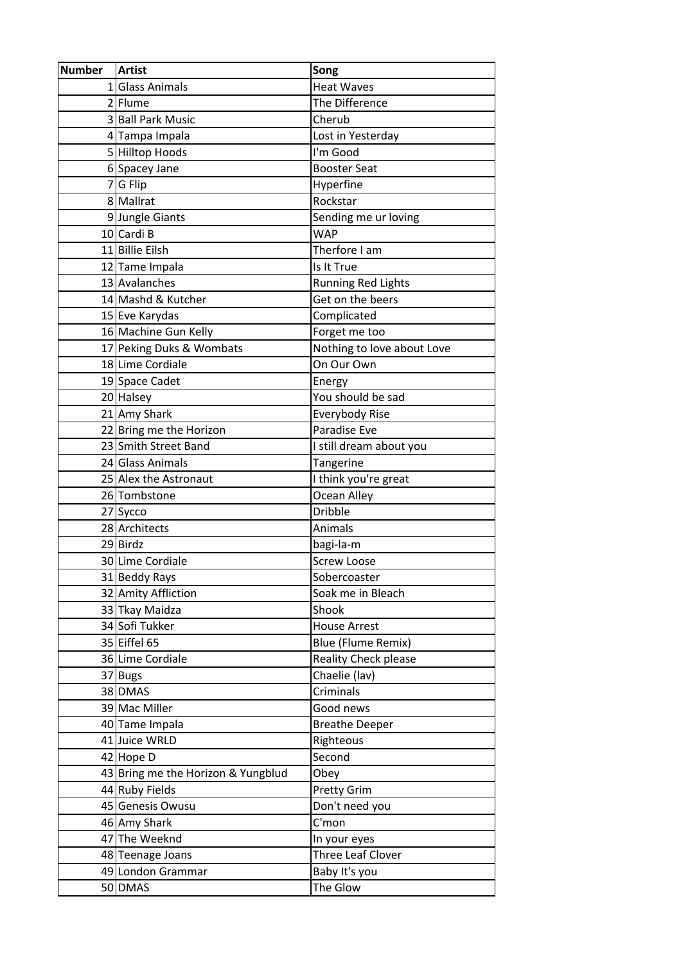| <b>Number</b> | Artist                             | Song                        |
|---------------|------------------------------------|-----------------------------|
|               | 1 Glass Animals                    | <b>Heat Waves</b>           |
|               | 2 Flume                            | The Difference              |
|               | 3 Ball Park Music                  | Cherub                      |
|               | 4 Tampa Impala                     | Lost in Yesterday           |
|               | 5 Hilltop Hoods                    | I'm Good                    |
|               | 6 Spacey Jane                      | <b>Booster Seat</b>         |
|               | 7 G Flip                           | Hyperfine                   |
|               | 8 Mallrat                          | Rockstar                    |
|               | 9 Jungle Giants                    | Sending me ur loving        |
|               | 10 Cardi B                         | <b>WAP</b>                  |
|               | 11 Billie Eilsh                    | Therfore I am               |
|               | 12 Tame Impala                     | Is It True                  |
|               | 13 Avalanches                      | <b>Running Red Lights</b>   |
|               | 14 Mashd & Kutcher                 | Get on the beers            |
|               | 15 Eve Karydas                     | Complicated                 |
|               | 16 Machine Gun Kelly               | Forget me too               |
|               | 17 Peking Duks & Wombats           | Nothing to love about Love  |
|               | 18 Lime Cordiale                   | On Our Own                  |
|               | 19 Space Cadet                     | Energy                      |
|               | 20 Halsey                          | You should be sad           |
|               | 21 Amy Shark                       | Everybody Rise              |
|               | 22 Bring me the Horizon            | Paradise Eve                |
|               | 23 Smith Street Band               | I still dream about you     |
|               | 24 Glass Animals                   | Tangerine                   |
|               | 25 Alex the Astronaut              | I think you're great        |
|               | 26 Tombstone                       | Ocean Alley                 |
|               | 27 Sycco                           | <b>Dribble</b>              |
|               | 28 Architects                      | Animals                     |
|               | 29 Birdz                           | bagi-la-m                   |
|               | 30 Lime Cordiale                   | <b>Screw Loose</b>          |
|               | 31 Beddy Rays                      | Sobercoaster                |
|               | 32 Amity Affliction                | Soak me in Bleach           |
|               | 33 Tkay Maidza                     | Shook                       |
|               | 34 Sofi Tukker                     | <b>House Arrest</b>         |
|               | 35 Eiffel 65                       | <b>Blue (Flume Remix)</b>   |
|               | 36 Lime Cordiale                   | <b>Reality Check please</b> |
|               | 37 Bugs                            | Chaelie (lav)               |
|               | 38 DMAS                            | Criminals                   |
|               | 39 Mac Miller                      | Good news                   |
|               | 40 Tame Impala                     | <b>Breathe Deeper</b>       |
|               | 41 Juice WRLD                      | Righteous                   |
|               | 42 Hope D                          | Second                      |
|               | 43 Bring me the Horizon & Yungblud | Obey                        |
|               | 44 Ruby Fields                     | Pretty Grim                 |
|               | 45 Genesis Owusu                   | Don't need you              |
|               | 46 Amy Shark                       | C'mon                       |
|               | 47 The Weeknd                      | In your eyes                |
|               | 48 Teenage Joans                   | Three Leaf Clover           |
|               | 49 London Grammar                  | Baby It's you               |
|               | 50 DMAS                            | The Glow                    |